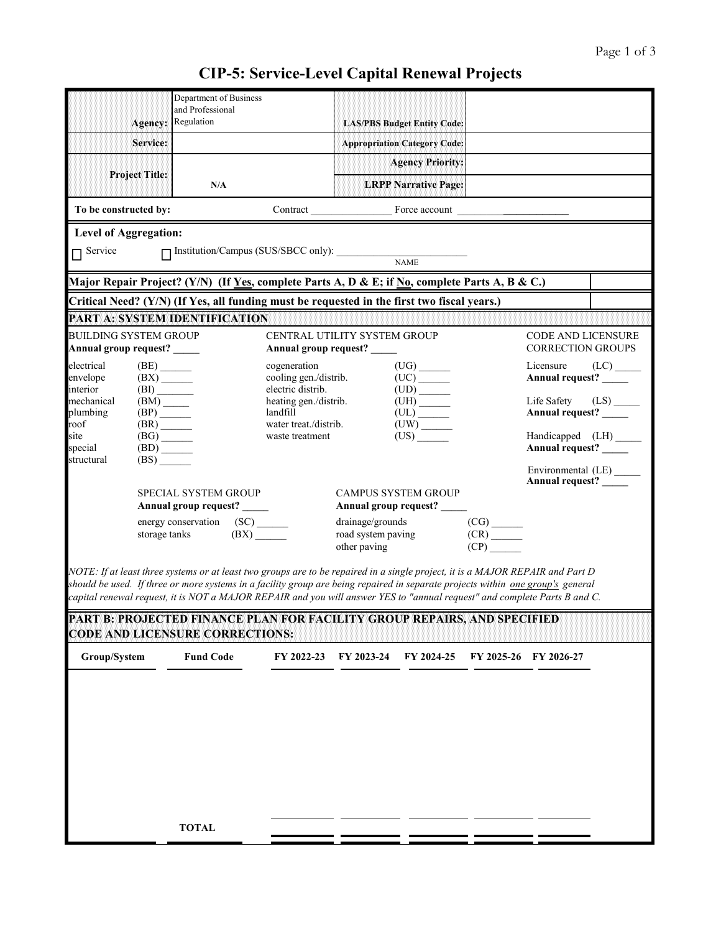## **CIP-5: Service-Level Capital Renewal Projects**

|                                                                                                                                                                                                                                                                                                                                                                                                                                                                                                                      | Agency:                                                   | Department of Business<br>and Professional<br>Regulation                                    |                                                                                          |                            | <b>LAS/PBS Budget Entity Code:</b>  |                                                                                                                                                                                                                                                                                                                                                                                                                                                                                                                                                                                       |                                                   |  |  |  |  |
|----------------------------------------------------------------------------------------------------------------------------------------------------------------------------------------------------------------------------------------------------------------------------------------------------------------------------------------------------------------------------------------------------------------------------------------------------------------------------------------------------------------------|-----------------------------------------------------------|---------------------------------------------------------------------------------------------|------------------------------------------------------------------------------------------|----------------------------|-------------------------------------|---------------------------------------------------------------------------------------------------------------------------------------------------------------------------------------------------------------------------------------------------------------------------------------------------------------------------------------------------------------------------------------------------------------------------------------------------------------------------------------------------------------------------------------------------------------------------------------|---------------------------------------------------|--|--|--|--|
|                                                                                                                                                                                                                                                                                                                                                                                                                                                                                                                      | Service:                                                  |                                                                                             |                                                                                          |                            | <b>Appropriation Category Code:</b> |                                                                                                                                                                                                                                                                                                                                                                                                                                                                                                                                                                                       |                                                   |  |  |  |  |
|                                                                                                                                                                                                                                                                                                                                                                                                                                                                                                                      |                                                           |                                                                                             |                                                                                          |                            | <b>Agency Priority:</b>             |                                                                                                                                                                                                                                                                                                                                                                                                                                                                                                                                                                                       |                                                   |  |  |  |  |
|                                                                                                                                                                                                                                                                                                                                                                                                                                                                                                                      | <b>Project Title:</b>                                     | N/A                                                                                         |                                                                                          |                            | <b>LRPP Narrative Page:</b>         |                                                                                                                                                                                                                                                                                                                                                                                                                                                                                                                                                                                       |                                                   |  |  |  |  |
| To be constructed by:                                                                                                                                                                                                                                                                                                                                                                                                                                                                                                |                                                           |                                                                                             |                                                                                          | Contract Force account     |                                     |                                                                                                                                                                                                                                                                                                                                                                                                                                                                                                                                                                                       |                                                   |  |  |  |  |
| <b>Level of Aggregation:</b><br>$\Box$ Service<br>$\boxed{\fbox{Institution/Campus (SUS/SHCC only): $\_\space$}$                                                                                                                                                                                                                                                                                                                                                                                                     |                                                           |                                                                                             |                                                                                          |                            |                                     |                                                                                                                                                                                                                                                                                                                                                                                                                                                                                                                                                                                       |                                                   |  |  |  |  |
| Major Repair Project? (Y/N) (If <u>Yes</u> , complete Parts A, D & E; if No, complete Parts A, B & C.)                                                                                                                                                                                                                                                                                                                                                                                                               |                                                           |                                                                                             |                                                                                          |                            |                                     |                                                                                                                                                                                                                                                                                                                                                                                                                                                                                                                                                                                       |                                                   |  |  |  |  |
|                                                                                                                                                                                                                                                                                                                                                                                                                                                                                                                      |                                                           | Critical Need? (Y/N) (If Yes, all funding must be requested in the first two fiscal years.) |                                                                                          |                            |                                     |                                                                                                                                                                                                                                                                                                                                                                                                                                                                                                                                                                                       |                                                   |  |  |  |  |
|                                                                                                                                                                                                                                                                                                                                                                                                                                                                                                                      |                                                           | PART A: SYSTEM IDENTIFICATION                                                               |                                                                                          |                            |                                     |                                                                                                                                                                                                                                                                                                                                                                                                                                                                                                                                                                                       |                                                   |  |  |  |  |
| <b>BUILDING SYSTEM GROUP</b><br>Annual group request?                                                                                                                                                                                                                                                                                                                                                                                                                                                                |                                                           |                                                                                             | <b>CENTRAL UTILITY SYSTEM GROUP</b><br>Annual group request?                             |                            |                                     |                                                                                                                                                                                                                                                                                                                                                                                                                                                                                                                                                                                       | CODE AND LICENSURE<br><b>CORRECTION GROUPS</b>    |  |  |  |  |
| electrical<br>$(BE)$ <sub>_______</sub><br>(BX)<br>envelope                                                                                                                                                                                                                                                                                                                                                                                                                                                          |                                                           |                                                                                             | $(UG)$ <sub>______</sub><br>cogeneration<br>cooling gen./distrib.<br>$(UC)$ <sup>-</sup> |                            |                                     |                                                                                                                                                                                                                                                                                                                                                                                                                                                                                                                                                                                       | $(LC)$ <sub>_____</sub><br>Annual request? _____  |  |  |  |  |
| interior<br>mechanical                                                                                                                                                                                                                                                                                                                                                                                                                                                                                               | $\begin{array}{c} \text{(BI)} \\ \text{(BM)} \end{array}$ |                                                                                             | electric distrib.<br>heating gen./distrib.                                               |                            | $(UH)$ <sub>_______</sub>           | (LS)<br>Life Safety                                                                                                                                                                                                                                                                                                                                                                                                                                                                                                                                                                   |                                                   |  |  |  |  |
| plumbing<br>roof                                                                                                                                                                                                                                                                                                                                                                                                                                                                                                     | (BP)<br>(BR)                                              |                                                                                             | landfill<br>water treat./distrib.                                                        |                            | (UL)<br>UW                          |                                                                                                                                                                                                                                                                                                                                                                                                                                                                                                                                                                                       | Annual request?                                   |  |  |  |  |
| site<br>special                                                                                                                                                                                                                                                                                                                                                                                                                                                                                                      | $(BG)$ <sub>______</sub>                                  |                                                                                             | (US)<br>waste treatment                                                                  |                            |                                     | Handicapped (LH) ______<br>Annual request?                                                                                                                                                                                                                                                                                                                                                                                                                                                                                                                                            |                                                   |  |  |  |  |
| structural                                                                                                                                                                                                                                                                                                                                                                                                                                                                                                           | (BS)                                                      |                                                                                             |                                                                                          |                            |                                     |                                                                                                                                                                                                                                                                                                                                                                                                                                                                                                                                                                                       |                                                   |  |  |  |  |
|                                                                                                                                                                                                                                                                                                                                                                                                                                                                                                                      |                                                           |                                                                                             |                                                                                          |                            |                                     |                                                                                                                                                                                                                                                                                                                                                                                                                                                                                                                                                                                       | Environmental (LE) _______<br>Annual request? ___ |  |  |  |  |
|                                                                                                                                                                                                                                                                                                                                                                                                                                                                                                                      |                                                           | <b>SPECIAL SYSTEM GROUP</b><br>Annual group request? _____                                  |                                                                                          | <b>CAMPUS SYSTEM GROUP</b> | Annual group request? _____         |                                                                                                                                                                                                                                                                                                                                                                                                                                                                                                                                                                                       |                                                   |  |  |  |  |
|                                                                                                                                                                                                                                                                                                                                                                                                                                                                                                                      | (SC)<br>energy conservation                               |                                                                                             |                                                                                          | drainage/grounds           |                                     |                                                                                                                                                                                                                                                                                                                                                                                                                                                                                                                                                                                       |                                                   |  |  |  |  |
|                                                                                                                                                                                                                                                                                                                                                                                                                                                                                                                      | storage tanks                                             | $(BX)$ <sub>______</sub>                                                                    | road system paving<br>other paving                                                       |                            |                                     | $\begin{array}{c}\n\text{(CG)} \quad \text{(CR)} \quad \text{(CR)} \quad \text{(CP)} \quad \text{(CP)} \quad \text{(CP)} \quad \text{(CP)} \quad \text{(CP)} \quad \text{(CP)} \quad \text{(CP)} \quad \text{(CP)} \quad \text{(CP)} \quad \text{(CP)} \quad \text{(CP)} \quad \text{(CP)} \quad \text{(CP)} \quad \text{(CP)} \quad \text{(CP)} \quad \text{(CP)} \quad \text{(CP)} \quad \text{(CP)} \quad \text{(CP)} \quad \text{(CP)} \quad \text{(CP)} \quad \text{(CP)} \quad \text{(CP)} \quad \text{(CP)} \quad \text{(CP)} \quad \text{(CP)} \quad \text{(CP)} \quad \text$ |                                                   |  |  |  |  |
| NOTE: If at least three systems or at least two groups are to be repaired in a single project, it is a MAJOR REPAIR and Part D<br>should be used. If three or more systems in a facility group are being repaired in separate projects within one group's general<br>capital renewal request, it is NOT a MAJOR REPAIR and you will answer YES to "annual request" and complete Parts B and C.<br>PART B: PROJECTED FINANCE PLAN FOR FACILITY GROUP REPAIRS, AND SPECIFIED<br><b>CODE AND LICENSURE CORRECTIONS:</b> |                                                           |                                                                                             |                                                                                          |                            |                                     |                                                                                                                                                                                                                                                                                                                                                                                                                                                                                                                                                                                       |                                                   |  |  |  |  |
| Group/System                                                                                                                                                                                                                                                                                                                                                                                                                                                                                                         |                                                           | <b>Fund Code</b>                                                                            | FY 2022-23                                                                               | FY 2023-24                 | FY 2024-25                          |                                                                                                                                                                                                                                                                                                                                                                                                                                                                                                                                                                                       | FY 2025-26 FY 2026-27                             |  |  |  |  |
|                                                                                                                                                                                                                                                                                                                                                                                                                                                                                                                      |                                                           | <b>TOTAL</b>                                                                                |                                                                                          |                            |                                     |                                                                                                                                                                                                                                                                                                                                                                                                                                                                                                                                                                                       |                                                   |  |  |  |  |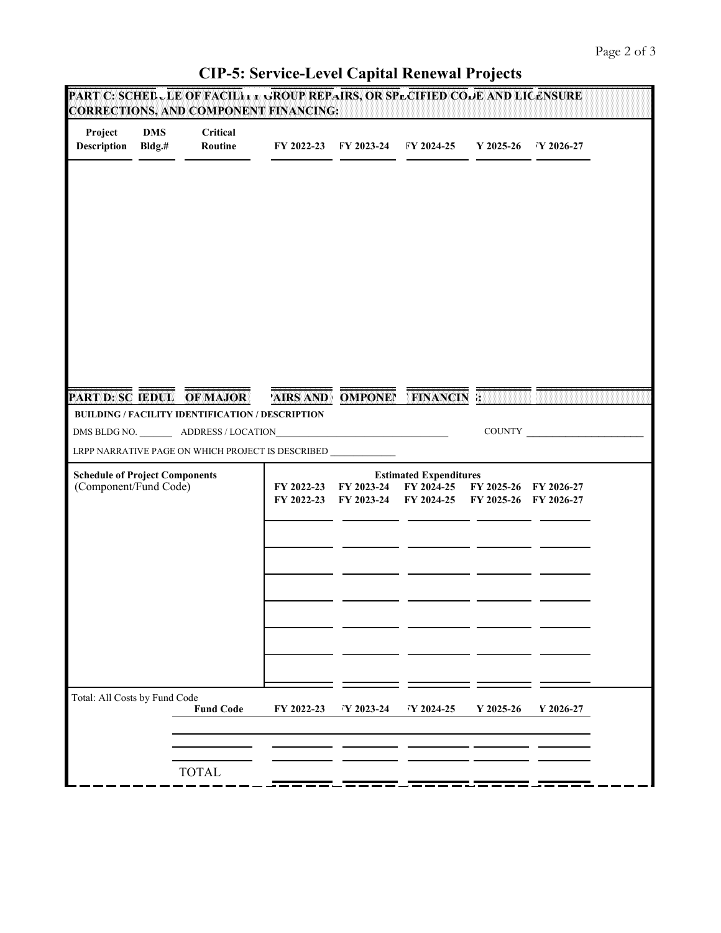## **CIP-5: Service-Level Capital Renewal Projects**

|                                                                |                         | PART C: SCHEDULE OF FACILITY GROUP REPAIRS, OR SPECIFIED CODE AND LICENSURE<br><b>CORRECTIONS, AND COMPONENT FINANCING:</b>                |            |                                                                      |                                                |           |                     |
|----------------------------------------------------------------|-------------------------|--------------------------------------------------------------------------------------------------------------------------------------------|------------|----------------------------------------------------------------------|------------------------------------------------|-----------|---------------------|
| Project<br><b>Description</b>                                  | <b>DMS</b><br>$Bldg$ .# | Critical<br>Routine                                                                                                                        |            |                                                                      | FY 2022-23 FY 2023-24 FY 2024-25               |           | Y 2025-26 Y 2026-27 |
|                                                                |                         |                                                                                                                                            |            |                                                                      |                                                |           |                     |
|                                                                |                         | <b>PART D: SC IEDUL OF MAJOR</b><br><b>BUILDING / FACILITY IDENTIFICATION / DESCRIPTION</b><br>DMS BLDG NO. __________ ADDRESS / LOCATION_ |            |                                                                      | <b>AIRS AND OMPONET FINANCIN : WE</b>          | COUNTY    |                     |
|                                                                |                         | LRPP NARRATIVE PAGE ON WHICH PROJECT IS DESCRIBED                                                                                          |            |                                                                      |                                                |           |                     |
| <b>Schedule of Project Components</b><br>(Component/Fund Code) |                         | FY 2022-23<br>FY 2022-23                                                                                                                   | FY 2023-24 | <b>Estimated Expenditures</b><br>FY 2024-25<br>FY 2023-24 FY 2024-25 | FY 2025-26 FY 2026-27<br>FY 2025-26 FY 2026-27 |           |                     |
|                                                                |                         |                                                                                                                                            |            |                                                                      |                                                |           |                     |
|                                                                |                         |                                                                                                                                            |            |                                                                      |                                                |           |                     |
| Total: All Costs by Fund Code                                  |                         | <b>Fund Code</b>                                                                                                                           | FY 2022-23 | FY 2023-24                                                           | Y 2024-25                                      | Y 2025-26 | Y 2026-27           |
|                                                                |                         | <b>TOTAL</b>                                                                                                                               |            |                                                                      |                                                |           |                     |